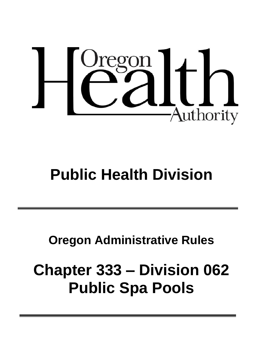

# **Public Health Division**

## **Oregon Administrative Rules**

## **Chapter 333 – Division 062 Public Spa Pools**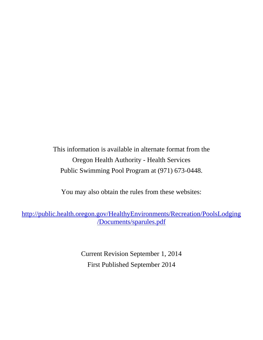This information is available in alternate format from the Oregon Health Authority - Health Services Public Swimming Pool Program at (971) 673-0448.

You may also obtain the rules from these websites:

[http://public.health.oregon.gov/HealthyEnvironments/Recreation/PoolsLodging](http://public.health.oregon.gov/HealthyEnvironments/Recreation/PoolsLodging/Documents/sparules.pdf) [/Documents/sparules.pdf](http://public.health.oregon.gov/HealthyEnvironments/Recreation/PoolsLodging/Documents/sparules.pdf)

> Current Revision September 1, 2014 First Published September 2014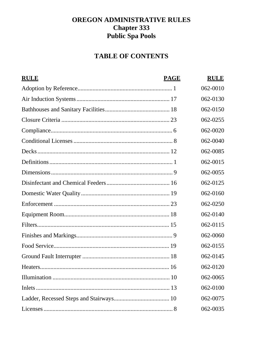## OREGON ADMINISTRATIVE RULES **Chapter 333 Public Spa Pools**

## **TABLE OF CONTENTS**

| <b>RULE</b> | <b>PAGE</b> | <b>RULE</b> |
|-------------|-------------|-------------|
|             |             | 062-0010    |
|             |             | 062-0130    |
|             |             | 062-0150    |
|             |             | 062-0255    |
|             |             | 062-0020    |
|             |             | 062-0040    |
|             |             | 062-0085    |
|             |             | 062-0015    |
|             |             | 062-0055    |
|             |             | 062-0125    |
|             |             | 062-0160    |
|             |             | 062-0250    |
|             |             | 062-0140    |
|             |             | 062-0115    |
|             |             | 062-0060    |
|             |             | 062-0155    |
|             |             | 062-0145    |
|             |             | 062-0120    |
|             |             | 062-0065    |
|             |             | 062-0100    |
|             |             | 062-0075    |
|             |             | 062-0035    |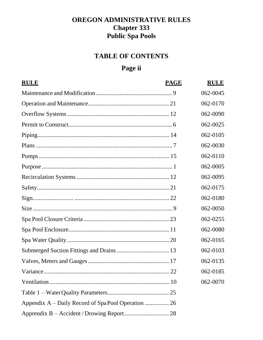## **OREGON ADMINISTRATIVE RULES Chapter 333 Public Spa Pools**

## **TABLE OF CONTENTS**

## Page ii

| <b>RULE</b> | <b>PAGE</b> | <b>RULE</b> |
|-------------|-------------|-------------|
|             |             | 062-0045    |
|             |             | 062-0170    |
|             |             | 062-0090    |
|             |             | 062-0025    |
|             |             | 062-0105    |
|             |             | 062-0030    |
|             |             | 062-0110    |
|             |             | 062-0005    |
|             |             | 062-0095    |
|             |             | 062-0175    |
|             |             | 062-0180    |
|             |             | 062-0050    |
|             |             | 062-0255    |
|             |             | 062-0080    |
|             |             | 062-0165    |
|             |             | 062-0103    |
|             |             | 062-0135    |
|             | .22         | 062-0185    |
|             |             | 062-0070    |
|             |             |             |
|             |             |             |
|             |             |             |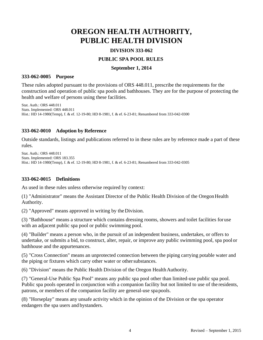## **OREGON HEALTH AUTHORITY, PUBLIC HEALTH DIVISION**

#### **DIVISION 333-062**

#### **PUBLIC SPA POOL RULES**

#### **September 1, 2014**

#### **333-062-0005 Purpose**

These rules adopted pursuant to the provisions of ORS 448.011, prescribe the requirements for the construction and operation of public spa pools and bathhouses. They are for the purpose of protecting the health and welfare of persons using these facilities.

Stat. Auth.: ORS 448.011 Stats. Implemented: ORS 448.011 Hist.: HD 14-1980(Temp), f. & ef. 12-19-80; HD 8-1981, f. & ef. 6-23-81; Renumbered from 333-042-0300

#### **333-062-0010 Adoption by Reference**

Outside standards, listings and publications referred to in these rules are by reference made a part of these rules.

Stat. Auth.: ORS 448.011 Stats. Implemented: ORS 183.355 Hist.: HD 14-1980(Temp), f. & ef. 12-19-80; HD 8-1981, f. & ef. 6-23-81; Renumbered from 333-042-0305

#### **333-062-0015 Definitions**

As used in these rules unless otherwise required by context:

(1) "Administrator" means the Assistant Director of the Public Health Division of the OregonHealth Authority.

(2) "Approved" means approved in writing by theDivision.

(3) "Bathhouse" means a structure which contains dressing rooms, showers and toilet facilities foruse with an adjacent public spa pool or public swimming pool.

(4) "Builder" means a person who, in the pursuit of an independent business, undertakes, or offers to undertake, or submits a bid, to construct, alter, repair, or improve any public swimming pool, spa pool or bathhouse and the appurtenances.

(5) "Cross Connection" means an unprotected connection between the piping carrying potable water and the piping or fixtures which carry other water or othersubstances.

(6) "Division" means the Public Health Division of the Oregon HealthAuthority.

(7) "General-Use Public Spa Pool" means any public spa pool other than limited-use public spa pool. Public spa pools operated in conjunction with a companion facility but not limited to use of the residents, patrons, or members of the companion facility are general-use spapools.

(8) "Horseplay" means any unsafe activity which in the opinion of the Division or the spa operator endangers the spa users and bystanders.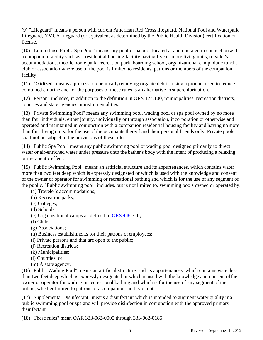(9) "Lifeguard" means a person with current American Red Cross lifeguard, National Pool and Waterpark Lifeguard, YMCA lifeguard (or equivalent as determined by the Public Health Division) certification or license.

(10) "Limited-use Public Spa Pool" means any public spa pool located at and operated in connectionwith a companion facility such as a residential housing facility having five or more living units, traveler's accommodations, mobile home park, recreation park, boarding school, organizational camp, dude ranch, club or association where use of the pool is limited to residents, patrons or members of the companion facility.

(11) "Oxidized" means a process of chemicallyremoving organic debris, using a product used to reduce combined chlorine and for the purposes of these rules is an alternative to superchlorination.

(12) "Person" includes, in addition to the definition in ORS 174.100, municipalities, recreation districts, counties and state agencies or instrumentalities.

(13) "Private Swimming Pool" means any swimming pool, wading pool or spa pool owned by no more than four individuals, either jointly, individually or through association, incorporation or otherwise and operated and maintained in conjunction with a companion residential housing facility and having nomore than four living units, for the use of the occupants thereof and their personal friends only. Private pools shall not be subject to the provisions of these rules.

(14) "Public Spa Pool" means any public swimming pool or wading pool designed primarily to direct water or air-enriched water under pressure onto the bather's body with the intent of producing a relaxing or therapeutic effect.

(15) "Public Swimming Pool" means an artificial structure and its appurtenances, which contains water more than two feet deep which is expressly designated or which is used with the knowledge and consent of the owner or operator for swimming or recreational bathing and which is for the use of any segment of the public. "Public swimming pool" includes, but is not limited to, swimming pools owned or operated by:

- (a) Traveler's accommodations;
- (b) Recreation parks;
- (c) Colleges;
- (d) Schools;
- (e) Organizational camps as defined in [ORS](http://landru.leg.state.or.us/ors/446.html) 446.310;
- (f) Clubs;
- (g) Associations;
- (h) Business establishments for their patrons or employees;
- (i) Private persons and that are open to the public;
- (j) Recreation districts;
- (k) Municipalities;
- (l) Counties; or
- (m) A state agency.

(16) "Public Wading Pool" means an artificial structure, and its appurtenances, which contains waterless than two feet deep which is expressly designated or which is used with the knowledge and consent ofthe owner or operator for wading or recreational bathing and which is for the use of any segment of the public, whether limited to patrons of a companion facility or not.

(17) "Supplemental Disinfectant" means a disinfectant which is intended to augment water quality ina public swimming pool or spa and will provide disinfection in conjunction with the approved primary disinfectant.

(18) "These rules" mean OAR 333-062-0005 through 333-062-0185.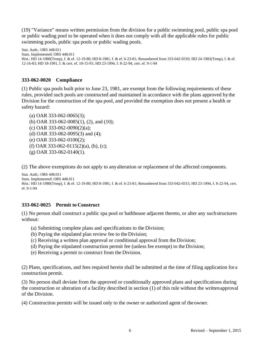(19) "Variance" means written permission from the division for a public swimming pool, public spa pool or public wading pool to be operated when it does not comply with all the applicable rules for public swimming pools, public spa pools or public wading pools.

Stat. Auth.: ORS 448.011 Stats. Implemented: ORS 448.011 Hist.: HD 14-1980(Temp), f. & ef. 12-19-80; HD 8-1981, f. & ef. 6-23-81; Renumbered from 333-042-0310; HD 24-1983(Temp), f. & ef. 12-16-83; HD 18-1991, f. & cert. ef. 10-15-91; HD 23-1994, f. 8-22-94, cert. ef. 9-1-94

#### **333-062-0020 Compliance**

(1) Public spa pools built prior to June 23, 1981, are exempt from the following requirements of these rules, provided such pools are constructed and maintained in accordance with the plans approved bythe Division for the construction of the spa pool, and provided the exemption does not present a health or safety hazard:

(a) OAR 333-062-0065(3); (b) OAR 333-062-0085(1), (2), and (10); (c) OAR 333-062-0090(2)(a); (d) OAR 333-062-0095(3) and (4); (e) OAR 333-062-0100(2); (f) OAR 333-062-0115(2)(a), (b), (c); (g) OAR 333-062-0140(1).

(2) The above exemptions do not apply to anyalteration or replacement of the affected components.

```
Stat. Auth.: ORS 448.011
Stats. Implemented: ORS 448.011
Hist.: HD 14-1980(Temp), f. & ef. 12-19-80; HD 8-1981, f. & ef. 6-23-81; Renumbered from 333-042-0315; HD 23-1994, f. 8-22-94, cert. 
ef. 9-1-94
```
#### **333-062-0025 Permit to Construct**

(1) No person shall construct a public spa pool or bathhouse adjacent thereto, or alter any suchstructures without:

- (a) Submitting complete plans and specifications to the Division;
- (b) Paying the stipulated plan review fee to the Division;
- (c) Receiving a written plan approval or conditional approval from the Division;
- (d) Paying the stipulated construction permit fee (unless fee exempt) to theDivision;
- (e) Receiving a permit to construct from the Division.

(2) Plans, specifications, and fees required herein shall be submitted at the time of filing application for a construction permit.

(3) No person shall deviate from the approved or conditionally approved plans and specifications during the construction or alteration of a facility described in section (1) of this rule without the writtenapproval of the Division.

(4) Construction permits will be issued only to the owner or authorized agent of theowner.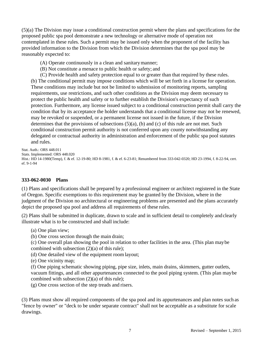(5)(a) The Division may issue a conditional construction permit where the plans and specifications for the proposed public spa pool demonstrate a new technology or alternative mode of operation not contemplated in these rules. Such a permit may be issued only when the proponent of the facility has provided information to the Division from which the Division determines that the spa pool may be reasonably expected to:

- (A) Operate continuously in a clean and sanitarymanner;
- (B) Not constitute a menace to public health or safety; and
- (C) Provide health and safety protection equal to or greater than that required by these rules.

(b) The conditional permit may impose conditions which will be set forth in a license for operation. These conditions may include but not be limited to submission of monitoring reports, sampling requirements, use restrictions, and such other conditions as the Division may deem necessary to protect the public health and safety or to further establish the Division's expectancy of such protection. Furthermore, any license issued subject to a conditional construction permit shall carry the condition that by its acceptance the holder understands that a conditional license may not be renewed, may be revoked or suspended, or a permanent license not issued in the future, if the Division determines that the provisions of subsections (5)(a), (b) and (c) of this rule are not met. Such conditional construction permit authority is not conferred upon any county notwithstanding any delegated or contractual authority in administration and enforcement of the public spa pool statutes and rules.

Stat. Auth.: ORS 448.011 Stats. Implemented: ORS 448.020 Hist.: HD 14-1980(Temp), f. & ef. 12-19-80; HD 8-1981, f. & ef. 6-23-81; Renumbered from 333-042-0320; HD 23-1994, f. 8-22-94, cert. ef. 9-1-94

#### **333-062-0030 Plans**

(1) Plans and specifications shall be prepared by a professional engineer or architect registered in the State of Oregon. Specific exemptions to this requirement may be granted by the Division, where in the judgment of the Division no architectural or engineering problems are presented and the plans accurately depict the proposed spa pool and address all requirements of these rules.

(2) Plans shall be submitted in duplicate, drawn to scale and in sufficient detail to completely andclearly illustrate what is to be constructed and shall include:

- (a) One plan view;
- (b) One cross section through the main drain;

(c) One overall plan showing the pool in relation to other facilities in the area. (This plan maybe combined with subsection  $(2)(a)$  of this rule);

- (d) One detailed view of the equipment room layout;
- (e) One vicinity map;

(f) One piping schematic showing piping, pipe size, inlets, main drains, skimmers, gutter outlets, vacuum fittings, and all other appurtenances connected to the pool piping system. (This plan maybe combined with subsection (2)(a) of this rule);

(g) One cross section of the step treads and risers.

(3) Plans must show all required components of the spa pool and its appurtenances and plan notes such as "fence by owner" or "deck to be under separate contract" shall not be acceptable as a substitute for scale drawings.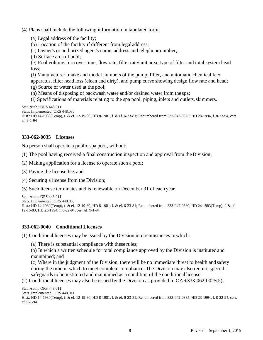(4) Plans shall include the following information in tabulated form:

- (a) Legal address of the facility;
- (b) Location of the facility if different from legaladdress;
- (c) Owner's or authorized agent's name, address and telephonenumber;
- (d) Surface area of pool;

(e) Pool volume, turn over time, flow rate, filter rate/unit area, type of filter and total system head loss;

(f) Manufacturer, make and model numbers of the pump, filter, and automatic chemical feed apparatus, filter head loss (clean and dirty), and pump curve showing design flow rate and head;

(g) Source of water used at the pool;

(h) Means of disposing of backwash water and/or drained water from the spa;

(i) Specifications of materials relating to the spa pool, piping, inlets and outlets,skimmers.

Stat. Auth.: ORS 448.011

```
Stats. Implemented: ORS 448.030
```

```
Hist.: HD 14-1980(Temp), f. & ef. 12-19-80; HD 8-1981, f. & ef. 6-23-81; Renumbered from 333-042-0325; HD 23-1994, f. 8-22-94, cert. 
ef. 9-1-94
```
#### **333-062-0035 Licenses**

No person shall operate a public spa pool, without:

(1) The pool having received a final construction inspection and approval from theDivision;

(2) Making application for a license to operate such a pool;

(3) Paying the license fee; and

(4) Securing a license from the Division;

(5) Such license terminates and is renewable on December 31 of each year.

```
Stat. Auth.: ORS 448.011
Stats. Implemented: ORS 448.035
Hist.: HD 14-1980(Temp), f. & ef. 12-19-80; HD 8-1981, f. & ef. 6-23-81; Renumbered from 333-042-0330; HD 24-1983(Temp), f. & ef.
12-16-83; HD 23-1994, f. 8-22-94, cert. ef. 9-1-94
```
#### **333-062-0040 Conditional Licenses**

(1) Conditional licenses may be issued by the Division in circumstances inwhich:

(a) There is substantial compliance with these rules;

(b) In which a written schedule for total compliance approved by the Division is instituted and maintained; and

(c) Where in the judgment of the Division, there will be no immediate threat to health and safety during the time in which to meet complete compliance. The Division may also require special safeguards to be instituted and maintained as a condition of the conditional license.

(2) Conditional licenses may also be issued by the Division as provided in OAR333-062-0025(5).

```
Stat. Auth.: ORS 448.011
Stats. Implemented: ORS 448.011
Hist.: HD 14-1980(Temp), f. & ef. 12-19-80; HD 8-1981, f. & ef. 6-23-81; Renumbered from 333-042-0335; HD 23-1994, f. 8-22-94, cert. 
ef. 9-1-94
```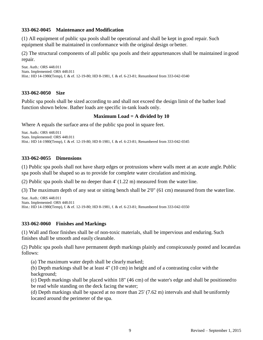#### **333-062-0045 Maintenance and Modification**

(1) All equipment of public spa pools shall be operational and shall be kept in good repair. Such equipment shall be maintained in conformance with the original design or better.

(2) The structural components of all public spa pools and their appurtenances shall be maintained in good repair.

```
Stat. Auth.: ORS 448.011
Stats. Implemented: ORS 448.011
Hist.: HD 14-1980(Temp), f. & ef. 12-19-80; HD 8-1981, f. & ef. 6-23-81; Renumbered from 333-042-0340
```
#### **333-062-0050 Size**

Public spa pools shall be sized according to and shall not exceed the design limit of the bather load function shown below. Bather loads are specific in-tank loads only.

#### **Maximum Load = A divided by 10**

Where A equals the surface area of the public spa pool in square feet.

```
Stat. Auth.: ORS 448.011
Stats. Implemented: ORS 448.011
Hist.: HD 14-1980(Temp), f. & ef. 12-19-80; HD 8-1981, f. & ef. 6-23-81; Renumbered from 333-042-0345
```
#### **333-062-0055 Dimensions**

(1) Public spa pools shall not have sharp edges or protrusions where walls meet at an acute angle.Public spa pools shall be shaped so as to provide for complete water circulation and mixing.

(2) Public spa pools shall be no deeper than 4' (1.22 m) measured from the waterline.

(3) The maximum depth of any seat or sitting bench shall be 2'0" (61 cm) measured from the waterline.

```
Stat. Auth.: ORS 448.011
Stats. Implemented: ORS 448.011
Hist.: HD 14-1980(Temp), f. & ef. 12-19-80; HD 8-1981, f. & ef. 6-23-81; Renumbered from 333-042-0350
```
#### **333-062-0060 Finishes and Markings**

(1) Wall and floor finishes shall be of non-toxic materials, shall be impervious and enduring. Such finishes shall be smooth and easily cleanable.

(2) Public spa pools shall have permanent depth markings plainly and conspicuously posted and locatedas follows:

(a) The maximum water depth shall be clearlymarked;

(b) Depth markings shall be at least 4" (10 cm) in height and of a contrasting color with the background;

(c) Depth markings shall be placed within 18" (46 cm) of the water's edge and shall be positionedto be read while standing on the deck facing the water;

(d) Depth markings shall be spaced at no more than 25' (7.62 m) intervals and shall be uniformly located around the perimeter of the spa.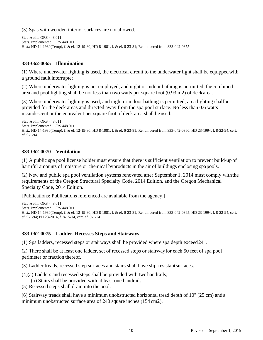(3) Spas with wooden interior surfaces are not allowed.

Stat. Auth.: ORS 448.011 Stats. Implemented: ORS 448.011 Hist.: HD 14-1980(Temp), f. & ef. 12-19-80; HD 8-1981, f. & ef. 6-23-81; Renumbered from 333-042-0355

#### **333-062-0065 Illumination**

(1) Where underwater lighting is used, the electrical circuit to the underwater light shall be equippedwith a ground fault interrupter.

(2) Where underwater lighting is not employed, and night or indoor bathing is permitted, thecombined area and pool lighting shall be not less than two watts per square foot (0.93 m2) of deck area.

(3) Where underwater lighting is used, and night or indoor bathing is permitted, area lighting shallbe provided for the deck areas and directed away from the spa pool surface. No less than 0.6 watts incandescent or the equivalent per square foot of deck area shall be used.

```
Stat. Auth.: ORS 448.011
Stats. Implemented: ORS 448.011
Hist.: HD 14-1980(Temp), f. & ef. 12-19-80; HD 8-1981, f. & ef. 6-23-81; Renumbered from 333-042-0360; HD 23-1994, f. 8-22-94, cert. 
ef. 9-1-94
```
#### **333-062-0070 Ventilation**

(1) A public spa pool license holder must ensure that there is sufficient ventilation to prevent build-up of harmful amounts of moisture or chemical byproducts in the air of buildings enclosing spapools.

(2) New and public spa pool ventilation systems renovated after September 1, 2014 must comply withthe requirements of the Oregon Structural Specialty Code, 2014 Edition, and the Oregon Mechanical Specialty Code, 2014 Edition.

[Publications: Publications referenced are available from the agency.]

```
Stat. Auth.: ORS 448.011
Stats. Implemented: ORS 448.011
Hist.: HD 14-1980(Temp), f. & ef. 12-19-80; HD 8-1981, f. & ef. 6-23-81; Renumbered from 333-042-0365; HD 23-1994, f. 8-22-94, cert. 
ef. 9-1-94; PH 23-2014, f. 8-15-14, cert. ef. 9-1-14
```
#### **333-062-0075 Ladder, Recesses Steps and Stairways**

(1) Spa ladders, recessed steps or stairways shall be provided where spa depth exceed24".

(2) There shall be at least one ladder, set of recessed steps or stairwayfor each 50 feet of spa pool perimeter or fraction thereof.

(3) Ladder treads, recessed step surfaces and stairs shall have slip-resistantsurfaces.

(4)(a) Ladders and recessed steps shall be provided with two handrails;

(b) Stairs shall be provided with at least one handrail.

(5) Recessed steps shall drain into the pool.

(6) Stairway treads shall have a minimum unobstructed horizontal tread depth of 10" (25 cm) and a minimum unobstructed surface area of 240 square inches (154 cm2).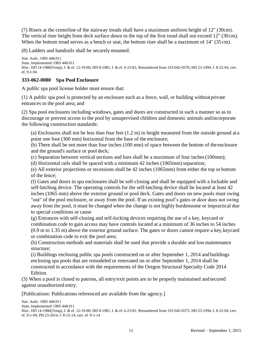(7) Risers at the centerline of the stairway treads shall have a maximum uniform height of 12" (30cm). The vertical riser height from deck surface down to the top of the first tread shall not exceed 12" (30cm). When the bottom tread serves as a bench or seat, the bottom riser shall be a maximum of 14" (35 cm).

(8) Ladders and handrails shall be securelymounted.

Stat. Auth.: ORS 448.011 Stats. Implemented: ORS 448.011 Hist.: HD 14-1980(Temp), f. & ef. 12-19-80; HD 8-1981, f. & ef. 6-23-81; Renumbered from 333-042-0370; HD 23-1994, f. 8-22-94, cert. ef. 9-1-94

#### **333-062-0080 Spa Pool Enclosure**

A public spa pool license holder must ensure that:

(1) A public spa pool is protected by an enclosure such as a fence, wall, or building withoutprivate entrances to the pool area; and

(2) Spa pool enclosures including windows, gates and doors are constructed in such a manner so as to discourage or prevent access to the pool by unsupervised children and domestic animals andincorporate the following construction standards:

(a) Enclosures shall not be less than four feet (1.2 m) in height measured from the outside ground at a point one foot (300 mm) horizontal from the base of the enclosure;

(b) There shall be not more than four inches (100 mm) of space between the bottom of the enclosure and the ground's surface or pool deck;

(c) Separation between vertical sections and bars shall be a maximum of four inches(100mm);

(d) Horizontal rails shall be spaced with a minimum  $42$  inches (1065mm) separation;

(e) All exterior projections or recessions shall be 42 inches (1065mm) from either the top or bottom of the fence;

(f) Gates and doors in spa enclosures shall be self-closing and shall be equipped with a lockable and self-latching device. The operating controls for the self-latching device shall be located at least 42 inches (1065 mm) above the exterior ground or pool deck. Gates and doors on new pools must swing "out" of the pool enclosure, or away from the pool. If an existing pool's gates or door does not swing away from the pool, it must be changed when the change is not highly burdensome or impractical due

to special conditions or cause

(g) Entrances with self-closing and self-locking devices requiring the use of a key, keycard or combination code to gain access may have controls located at a minimum of 36 inches to 54 inches (0.9 m to 1.35 m) above the exterior ground surface. The gates or doors cannot require a key,keycard or combination code to exit the pool area;

(h) Construction methods and materials shall be used that provide a durable and low maintenance structure;

(i) Buildings enclosing public spa pools constructed on or after September 1, 2014 and buildings enclosing spa pools that are remodeled or renovated on or after September 1, 2014 shall be constructed in accordance with the requirements of the Oregon Structural Specialty Code 2014 Edition.

(3) When a pool is closed to patrons, all entry/exit points are to be properly maintained andsecured against unauthorized entry.

[Publications: Publications referenced are available from the agency.]

Stat. Auth.: ORS 448.011 Stats. Implemented: ORS 448.011 Hist.: HD 14-1980(Temp), f. & ef. 12-19-80; HD 8-1981, f. & ef. 6-23-81; Renumbered from 333-042-0375; HD 23-1994, f. 8-22-94, cert. ef. 9-1-94; PH 23-2014, f. 8-15-14, cert. ef. 9-1-14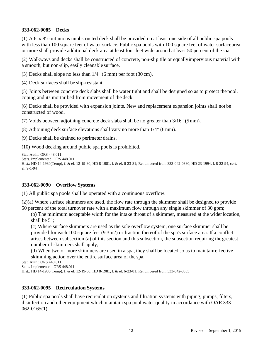#### **333-062-0085 Decks**

(1) A 6' x 8' continuous unobstructed deck shall be provided on at least one side of all public spa pools with less than 100 square feet of water surface. Public spa pools with 100 square feet of water surface area or more shall provide additional deck area at least four feet wide around at least 50 percent of the spa.

(2) Walkways and decks shall be constructed of concrete, non-slip tile or equallyimpervious material with a smooth, but non-slip, easily cleanable surface.

(3) Decks shall slope no less than 1/4" (6 mm) per foot (30 cm).

(4) Deck surfaces shall be slip-resistant.

(5) Joints between concrete deck slabs shall be water tight and shall be designed so as to protect the pool, coping and its mortar bed from movement of the deck.

(6) Decks shall be provided with expansion joints. New and replacement expansion joints shall not be constructed of wood.

(7) Voids between adjoining concrete deck slabs shall be no greater than 3/16" (5mm).

(8) Adjoining deck surface elevations shall vary no more than 1/4" (6mm).

(9) Decks shall be drained to perimeter drains.

(10) Wood decking around public spa pools is prohibited.

```
Stat. Auth.: ORS 448.011
Stats. Implemented: ORS 448.011
Hist.: HD 14-1980(Temp), f. & ef. 12-19-80; HD 8-1981, f. & ef. 6-23-81; Renumbered from 333-042-0380; HD 23-1994, f. 8-22-94, cert. 
ef. 9-1-94
```
#### **333-062-0090 Overflow Systems**

(1) All public spa pools shall be operated with a continuous overflow.

(2)(a) Where surface skimmers are used, the flow rate through the skimmer shall be designed to provide 50 percent of the total turnover rate with a maximum flow through any single skimmer of 30 gpm;

(b) The minimum acceptable width for the intake throat of a skimmer, measured at the widerlocation, shall be 5";

(c) Where surface skimmers are used as the sole overflow system, one surface skimmer shall be provided for each 100 square feet (9.3m2) or fraction thereof of the spa's surface area. If a conflict arises between subsection (a) of this section and this subsection, the subsection requiring thegreatest number of skimmers shall apply;

(d) When two or more skimmers are used in a spa, they shall be located so as to maintain effective skimming action over the entire surface area of the spa.

Stat. Auth.: ORS 448.011

Stats. Implemented: ORS 448.011

Hist.: HD 14-1980(Temp), f. & ef. 12-19-80; HD 8-1981, f. & ef. 6-23-81; Renumbered from 333-042-0385

#### **333-062-0095 Recirculation Systems**

(1) Public spa pools shall have recirculation systems and filtration systems with piping, pumps, filters, disinfection and other equipment which maintain spa pool water quality in accordance with OAR 333- 062-0165(1).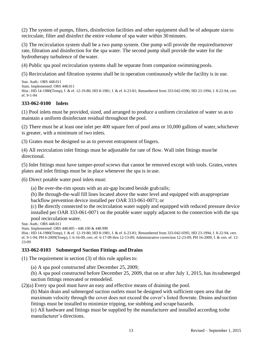(2) The system of pumps, filters, disinfection facilities and other equipment shall be of adequate size to recirculate, filter and disinfect the entire volume of spa water within 30minutes.

(3) The recirculation system shall be a two pump system. One pump will provide the requiredturnover rate, filtration and disinfection for the spa water. The second pump shall provide the water for the hydrotherapy turbulence of thewater.

(4) Public spa pool recirculation systems shall be separate from companion swimming pools.

(5) Recirculation and filtration systems shall be in operation continuously while the facility is in use.

```
Stat. Auth.: ORS 448.011
Stats. Implemented: ORS 448.011
Hist.: HD 14-1980(Temp), f. & ef. 12-19-80; HD 8-1981, f. & ef. 6-23-81; Renumbered from 333-042-0390; HD 23-1994, f. 8-22-94, cert. 
ef. 9-1-94
```
#### **333-062-0100 Inlets**

(1) Pool inlets must be provided, sized, and arranged to produce a uniform circulation of water so asto maintain a uniform disinfectant residual throughout the pool.

(2) There must be at least one inlet per 400 square feet of pool area or 10,000 gallons of water,whichever is greater, with a minimum of two inlets.

(3) Grates must be designed so as to prevent entrapment offingers.

(4) All recirculation inlet fittings must be adjustable for rate of flow. Wall inlet fittings must be directional.

(5) Inlet fittings must have tamper-proof screws that cannot be removed except with tools. Grates,vortex plates and inlet fittings must be in place whenever the spa is in use.

(6) Direct potable water pool inlets must:

(a) Be over-the-rim spouts with an air-gap located beside grabrails;

(b) Be through-the-wall fill lines located above the water level and equipped with anappropriate backflow prevention device installed per OAR 333-061-0071; or

(c) Be directly connected to the recirculation water supply and equipped with reduced pressure device installed per OAR 333-061-0071 on the potable water supply adjacent to the connection with the spa pool recirculation water.

Stat. Auth.: ORS 448.011

Stats. Implemented: ORS 448.005 - 448.100 & 448.990

Hist.: HD 14-1980(Temp), f. & ef. 12-19-80; HD 8-1981, f. & ef. 6-23-81; Renumbered from 333-042-0395; HD 23-1994, f. 8-22-94, cert. ef. 9-1-94; PH 6-2009(Temp), f. 6-16-09, cert. ef. 6-17-09 thru 12-13-09; Administrative correction 12-23-09; PH 16-2009, f. & cert. ef. 12- 23-09

#### **333-062-0103 Submerged Suction Fittings and Drains**

(1) The requirement in section (3) of this rule applies to:

(a) A spa pool constructed after December 25, 2009;

(b) A spa pool constructed before December 25, 2009, that on or after July 1, 2015, has itssubmerged suction fittings renovated or remodeled.

(2)(a) Every spa pool must have an easy and effective means of draining the pool.

(b) Main drain and submerged suction outlets must be designed with sufficient open area that the maximum velocity through the cover does not exceed the cover's listed flowrate. Drains andsuction fittings must be installed to minimize tripping, toe stubbing and scrape hazards.

(c) All hardware and fittings must be supplied by the manufacturer and installed according tothe manufacturer's directions.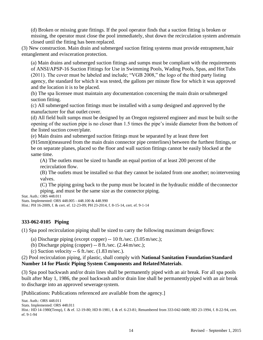(d) Broken or missing grate fittings. If the pool operator finds that a suction fitting is broken or missing, the operator must close the pool immediately, shut down the recirculation system andremain closed until the fitting has been replaced.

(3) New construction. Main drain and submerged suction fitting systems must provide entrapment,hair entanglement and evisceration protection.

(a) Main drains and submerged suction fittings and sumps must be compliant with the requirements of ANSI/APSP-16 Suction Fittings for Use in Swimming Pools, Wading Pools, Spas, and HotTubs (2011). The cover must be labeled and include; "VGB 2008," the logo of the third party listing agency, the standard for which it was tested, the gallons per minute flow for which it was approved and the location it is to be placed.

(b) The spa licensee must maintain any documentation concerning the main drain orsubmerged suction fitting.

(c) All submerged suction fittings must be installed with a sump designed and approved bythe manufacturer for that outlet cover.

(d) All field built sumps must be designed by an Oregon registered engineer and must be built so the opening of the suction pipe is no closer than 1.5 times the pipe's inside diameter from the bottom of the listed suction cover/plate.

(e) Main drains and submerged suction fittings must be separated by at least three feet

(915mm)(measured from the main drain connector pipe centerlines) between the furthest fittings,or be on separate planes, placed so the floor and wall suction fittings cannot be easily blocked at the same time.

(A) The outlets must be sized to handle an equal portion of at least 200 percent of the recirculation flow.

(B) The outlets must be installed so that they cannot be isolated from one another; no intervening valves.

(C) The piping going back to the pump must be located in the hydraulic middle of the connector piping, and must be the same size as the connector piping.

Stat. Auth.: ORS 448.011 Stats. Implemented: ORS 448.005 - 448.100 & 448.990

Hist.: PH 16-2009, f. & cert. ef. 12-23-09; PH 23-2014, f. 8-15-14, cert. ef. 9-1-14

#### **333-062-0105 Piping**

(1) Spa pool recirculation piping shall be sized to carry the following maximum designflows:

(a) Discharge piping (except copper) -- 10 ft./sec. (3.05m/sec.);

- (b) Discharge piping (copper) -- 8 ft./sec. (2.44m/sec.);
- (c) Suction velocity  $-6$  ft./sec. (1.83 m/sec.).

(2) Pool recirculation piping, if plastic, shall comply with **National Sanitation FoundationStandard Number 14 for Plastic Piping System Components and RelatedMaterials**.

(3) Spa pool backwash and/or drain lines shall be permanently piped with an air break. For all spa pools built after May 1, 1986, the pool backwash and/or drain line shall be permanentlypiped with an air break to discharge into an approved sewerage system.

[Publications: Publications referenced are available from the agency.]

```
Stat. Auth.: ORS 448.011
Stats. Implemented: ORS 448.011
Hist.: HD 14-1980(Temp), f. & ef. 12-19-80; HD 8-1981, f. & ef. 6-23-81; Renumbered from 333-042-0400; HD 23-1994, f. 8-22-94, cert. 
ef. 9-1-94
```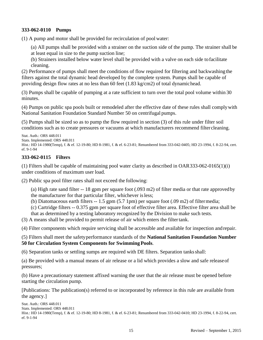#### **333-062-0110 Pumps**

(1) A pump and motor shall be provided for recirculation of pool water:

(a) All pumps shall be provided with a strainer on the suction side of the pump. The strainer shall be at least equal in size to the pump suction line;

(b) Strainers installed below water level shall be provided with a valve on each side tofacilitate cleaning.

(2) Performance of pumps shall meet the conditions of flow required for filtering and backwashingthe filters against the total dynamic head developed by the complete system. Pumps shall be capable of providing design flow rates at no less than 60 feet  $(1.83 \text{ kg/cm2})$  of total dynamichead.

(3) Pumps shall be capable of pumping at a rate sufficient to turn over the total pool volume within 30 minutes.

(4) Pumps on public spa pools built or remodeled after the effective date of these rules shall complywith National Sanitation Foundation Standard Number 50 on centrifugal pumps.

(5) Pumps shall be sized so as to pump the flow required in section (3) of this rule under filter soil conditions such as to create pressures or vacuums at which manufacturers recommend filtercleaning.

```
Stat. Auth.: ORS 448.011
Stats. Implemented: ORS 448.011
Hist.: HD 14-1980(Temp), f. & ef. 12-19-80; HD 8-1981, f. & ef. 6-23-81; Renumbered from 333-042-0405; HD 23-1994, f. 8-22-94, cert. 
ef. 9-1-94
```
#### **333-062-0115 Filters**

(1) Filters shall be capable of maintaining pool water clarity as described in OAR333-062-0165(1)(i) under conditions of maximum user load.

(2) Public spa pool filter rates shall not exceed the following:

(a) High rate sand filter -- 18 gpm per square foot (.093 m2) of filter media or that rate approvedby the manufacturer for that particular filter, whichever isless;

(b) Diatomaceous earth filters -- 1.5 gpm (5.7 1pm) per square foot (.09 m2) of filtermedia;

(c) Cartridge filters -- 0.375 gpm per square foot of effective filter area. Effective filter area shall be that as determined by a testing laboratory recognized by the Division to make such tests.

(3) A means shall be provided to permit release of air which enters the filtertank.

(4) Filter components which require servicing shall be accessible and available for inspection andrepair.

(5) Filters shall meet the safetyperformance standards of the **National Sanitation Foundation Number 50 for Circulation System Components for SwimmingPools**.

(6) Separation tanks or settling sumps are required with DE filters. Separation tanksshall:

(a) Be provided with a manual means of air release or a lid which provides a slow and safe releaseof pressures;

(b) Have a precautionary statement affixed warning the user that the air release must be opened before starting the circulation pump.

[Publications: The publication(s) referred to or incorporated by reference in this rule are available from the agency.]

```
Stat. Auth.: ORS 448.011
Stats. Implemented: ORS 448.011
Hist.: HD 14-1980(Temp), f. & ef. 12-19-80; HD 8-1981, f. & ef. 6-23-81; Renumbered from 333-042-0410; HD 23-1994, f. 8-22-94, cert. 
ef. 9-1-94
```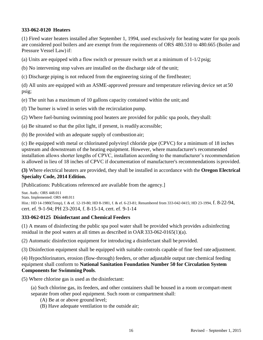#### **333-062-0120 Heaters**

(1) Fired water heaters installed after September 1, 1994, used exclusively for heating water for spa pools are considered pool boilers and are exempt from the requirements of ORS 480.510 to 480.665 (Boiler and Pressure Vessel Law) if:

(a) Units are equipped with a flow switch or pressure switch set at a minimum of  $1-1/2$  psig;

(b) No intervening stop valves are installed on the discharge side of the unit;

(c) Discharge piping is not reduced from the engineering sizing of the firedheater;

(d) All units are equipped with an ASME-approved pressure and temperature relieving device set at50 psig;

(e) The unit has a maximum of 10 gallons capacity contained within the unit; and

(f) The burner is wired in series with the recirculation pump.

(2) Where fuel-burning swimming pool heaters are provided for public spa pools, theyshall:

- (a) Be situated so that the pilot light, if present, is readily accessible;
- (b) Be provided with an adequate supply of combustion air;

(c) Be equipped with metal or chlorinated polyvinyl chloride pipe (CPVC) for a minimum of 18 inches upstream and downstream of the heating equipment. However, where manufacturer's recommended installation allows shorter lengths of CPVC, installation according to the manufacturer's recommendation is allowed in lieu of 18 inches of CPVC if documentation of manufacturer's recommendations isprovided.

**(3)** Where electrical heaters are provided, they shall be installed in accordance with the **Oregon Electrical Specialty Code, 2014 Edition.**

[Publications: Publications referenced are available from the agency.]

Stat. Auth.: ORS 448.011 Stats. Implemented: ORS 448.011 Hist.: HD 14-1980(Temp), f. & ef. 12-19-80; HD 8-1981, f. & ef. 6-23-81; Renumbered from 333-042-0415; HD 23-1994, f. 8-22-94, cert. ef. 9-1-94; PH 23-2014, f. 8-15-14, cert. ef. 9-1-14

#### **333-062-0125 Disinfectant and Chemical Feeders**

(1) A means of disinfecting the public spa pool water shall be provided which provides a disinfecting residual in the pool waters at all times as described in OAR333-062-0165(1)(a).

(2) Automatic disinfection equipment for introducing a disinfectant shall be provided.

(3) Disinfection equipment shall be equipped with suitable controls capable of fine feed rate adjustment.

(4) Hypochlorinators, erosion (flow-through) feeders, or other adjustable output rate chemical feeding equipment shall conform to **National Sanitation Foundation Number 50 for Circulation System Components for Swimming Pools**.

(5) Where chlorine gas is used as the disinfectant:

(a) Such chlorine gas, its feeders, and other containers shall be housed in a room or compart-ment separate from other pool equipment. Such room or compartment shall:

(A) Be at or above ground level;

(B) Have adequate ventilation to the outside air;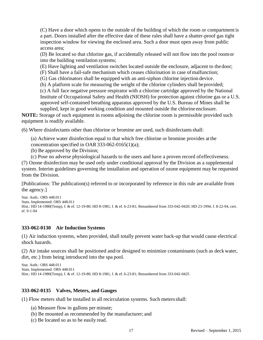(C) Have a door which opens to the outside of the building of which the room or compartment is a part. Doors installed after the effective date of these rules shall have a shatter-proof gas tight inspection window for viewing the enclosed area. Such a door must open away from public access area;

(D) Be located so that chlorine gas, if accidentally released will not flow into the pool roomor into the building ventilation systems;

(E) Have lighting and ventilation switches located outside the enclosure, adjacent to the door;

(F) Shall have a fail-safe mechanism which ceases chlorination in case of malfunction;

(G) Gas chlorinators shall be equipped with an anti-siphon chlorine injection device.

(b) A platform scale for measuring the weight of the chlorine cylinders shall beprovided;

(c) A full face negative pressure respirator with a chlorine cartridge approved by the National Institute of Occupational Safety and Health (NIOSH) for protection against chlorine gas or a U.S. approved self-contained breathing apparatus approved by the U.S. Bureau of Mines shall be supplied, kept in good working condition and mounted outside the chlorine enclosure.

**NOTE:** Storage of such equipment in rooms adjoining the chlorine room is permissible provided such equipment is readily available.

(6) Where disinfectants other than chlorine or bromine are used, such disinfectantsshall:

(a) Achieve water disinfection equal to that which free chlorine or bromine provides at the concentration specified in OAR 333-062-0165(1)(a);

(b) Be approved by the Division;

(c) Pose no adverse physiological hazards to the users and have a proven record ofeffectiveness. (7) Ozone disinfection may be used only under conditional approval by the Division as a supplemental system. Interim guidelines governing the installation and operation of ozone equipment may be requested from the Division.

[Publications: The publication(s) referred to or incorporated by reference in this rule are available from the agency.]

```
Stat. Auth.: ORS 448.011
Stats. Implemented: ORS 448.011
Hist.: HD 14-1980(Temp), f. & ef. 12-19-80; HD 8-1981, f. & ef. 6-23-81; Renumbered from 333-042-0420; HD 23-1994, f. 8-22-94, cert. 
ef. 9-1-94
```
#### **333-062-0130 Air Induction Systems**

(1) Air induction systems, when provided, shall totally prevent water back-up that would cause electrical shock hazards.

(2) Air intake sources shall be positioned and/or designed to minimize contaminants (such as deck water, dirt, etc.) from being introduced into the spa pool.

```
Stat. Auth.: ORS 448.011
Stats. Implemented: ORS 448.011
Hist.: HD 14-1980(Temp), f. & ef. 12-19-80; HD 8-1981, f. & ef. 6-23-81; Renumbered from 333-042-0425
```
#### **333-062-0135 Valves, Meters, and Gauges**

(1) Flow meters shall be installed in all recirculation systems. Such metersshall:

- (a) Measure flow in gallons per minute;
- (b) Be mounted as recommended by the manufacturer; and
- (c) Be located so as to be easily read.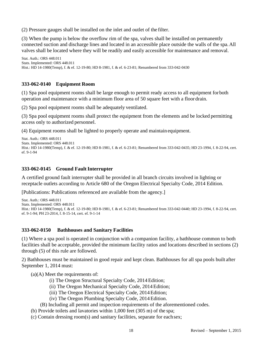(2) Pressure gauges shall be installed on the inlet and outlet of the filter.

(3) When the pump is below the overflow rim of the spa, valves shall be installed on permanently connected suction and discharge lines and located in an accessible place outside the walls of the spa.All valves shall be located where they will be readily and easily accessible for maintenance and removal.

```
Stat. Auth.: ORS 448.011
Stats. Implemented: ORS 448.011
Hist.: HD 14-1980(Temp), f. & ef. 12-19-80; HD 8-1981, f. & ef. 6-23-81; Renumbered from 333-042-0430
```
#### **333-062-0140 Equipment Room**

(1) Spa pool equipment rooms shall be large enough to permit ready access to all equipment forboth operation and maintenance with a minimum floor area of 50 square feet with a floor drain.

(2) Spa pool equipment rooms shall be adequately ventilated.

(3) Spa pool equipment rooms shall protect the equipment from the elements and be locked permitting access only to authorized personnel.

(4) Equipment rooms shall be lighted to properly operate and maintain equipment.

```
Stat. Auth.: ORS 448.011
Stats. Implemented: ORS 448.011
Hist.: HD 14-1980(Temp), f. & ef. 12-19-80; HD 8-1981, f. & ef. 6-23-81; Renumbered from 333-042-0435; HD 23-1994, f. 8-22-94, cert. 
ef. 9-1-94
```
#### **333-062-0145 Ground FaultInterrupter**

A certified ground fault interrupter shall be provided in all branch circuits involved in lighting or receptacle outlets according to Article 680 of the Oregon Electrical Specialty Code, 2014 Edition.

[Publications: Publications referenced are available from the agency.]

```
Stat. Auth.: ORS 448.011
Stats. Implemented: ORS 448.011
Hist.: HD 14-1980(Temp), f. & ef. 12-19-80; HD 8-1981, f. & ef. 6-23-81; Renumbered from 333-042-0440; HD 23-1994, f. 8-22-94, cert. 
ef. 9-1-94; PH 23-2014, f. 8-15-14, cert. ef. 9-1-14
```
#### **333-062-0150 Bathhouses and Sanitary Facilities**

(1) Where a spa pool is operated in conjunction with a companion facility, a bathhouse common to both facilities shall be acceptable, provided the minimum facility ratios and locations described in sections (2) through (5) of this rule are followed.

2) Bathhouses must be maintained in good repair and kept clean. Bathhouses for all spa pools built after September 1, 2014 must:

(a)(A) Meet the requirements of:

- (i) The Oregon Structural Specialty Code, 2014Edition;
- (ii) The Oregon Mechanical Specialty Code, 2014Edition;
- (iii) The Oregon Electrical Specialty Code, 2014Edition;
- (iv) The Oregon Plumbing Specialty Code, 2014 Edition.
- (B) Including all permit and inspection requirements of the aforementioned codes.
- (b) Provide toilets and lavatories within 1,000 feet (305 m) of the spa;
- (c) Contain dressing room(s) and sanitary facilities, separate for eachsex;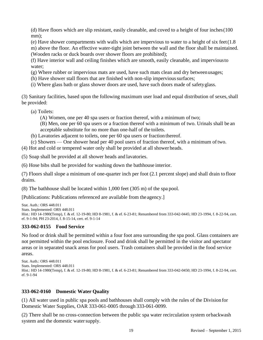(d) Have floors which are slip resistant, easily cleanable, and coved to a height of four inches(100 mm):

(e) Have shower compartments with walls which are impervious to water to a height of six feet(1.8 m) above the floor. An effective water-tight joint between the wall and the floor shall be maintained. (Wooden racks or duck boards over shower floors are prohibited);

(f) Have interior wall and ceiling finishes which are smooth, easily cleanable, and imperviousto water;

- (g) Where rubber or impervious mats are used, have such mats clean and dry betweenusages;
- (h) Have shower stall floors that are finished with non-slip impervioussurfaces;
- (i) Where glass bath or glass shower doors are used, have such doors made of safetyglass.

(3) Sanitary facilities, based upon the following maximum user load and equal distribution of sexes,shall be provided:

(a) Toilets:

(A) Women, one per 40 spa users or fraction thereof, with a minimum of two;

(B) Men, one per 60 spa users or a fraction thereof with a minimum of two. Urinals shall be an acceptable substitute for no more than one-half of the toilets.

- (b) Lavatories adjacent to toilets, one per 60 spa users or fraction thereof.
- (c) Showers One shower head per 40 pool users of fraction thereof, with a minimum oftwo.

(4) Hot and cold or tempered water only shall be provided at all shower heads.

(5) Soap shall be provided at all shower heads and lavatories.

(6) Hose bibs shall be provided for washing down the bathhouse interior.

(7) Floors shall slope a minimum of one-quarter inch per foot (2.1 percent slope) and shall drain to floor drains.

(8) The bathhouse shall be located within 1,000 feet (305 m) of the spa pool.

[Publications: Publications referenced are available from the agency.]

```
Stat. Auth.: ORS 448.011
Stats. Implemented: ORS 448.011
Hist.: HD 14-1980(Temp), f. & ef. 12-19-80; HD 8-1981, f. & ef. 6-23-81; Renumbered from 333-042-0445; HD 23-1994, f. 8-22-94, cert. 
ef. 9-1-94; PH 23-2014, f. 8-15-14, cert. ef. 9-1-14
```
#### **333-062-0155 Food Service**

No food or drink shall be permitted within a four foot area surrounding the spa pool. Glass containers are not permitted within the pool enclosure. Food and drink shall be permitted in the visitor and spectator areas or in separated snack areas for pool users. Trash containers shall be provided in the food service areas.

```
Stat. Auth.: ORS 448.011
Stats. Implemented: ORS 448.011
Hist.: HD 14-1980(Temp), f. & ef. 12-19-80; HD 8-1981, f. & ef. 6-23-81; Renumbered from 333-042-0450; HD 23-1994, f. 8-22-94, cert. 
ef. 9-1-94
```
#### **333-062-0160 Domestic Water Quality**

(1) All water used in public spa pools and bathhouses shall comply with the rules of the Division for Domestic Water Supplies, OAR 333-061-0005 through 333-061-0099.

(2) There shall be no cross-connection between the public spa water recirculation system orbackwash system and the domestic water supply.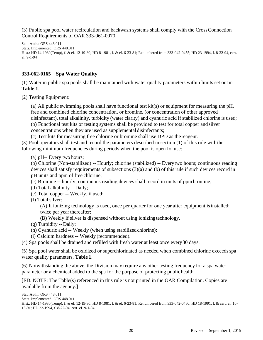(3) Public spa pool water recirculation and backwash systems shall comply with the CrossConnection Control Requirements of OAR 333-061-0070.

Stat. Auth.: ORS 448.011 Stats. Implemented: ORS 448.011 Hist.: HD 14-1980(Temp), f. & ef. 12-19-80; HD 8-1981, f. & ef. 6-23-81; Renumbered from 333-042-0455; HD 23-1994, f. 8-22-94, cert. ef. 9-1-94

#### **333-062-0165 Spa Water Quality**

(1) Water in public spa pools shall be maintained with water quality parameters within limits set outin **Table 1**.

(2) Testing Equipment:

(a) All public swimming pools shall have functional test kit(s) or equipment for measuring the pH, free and combined chlorine concentration, or bromine, (or concentration of other approved disinfectant), total alkalinity, turbidity (water clarity) and cyanuric acid if stabilized chlorine is used; (b) Functional test kits or testing systems shall be provided to test for total copper and silver concentrations when they are used as supplemental disinfectants;

(c) Test kits for measuring free chlorine or bromine shall use DPD as the reagent.

(3) Pool operators shall test and record the parameters described in section (1) of this rule with the following minimum frequencies during periods when the pool is open for use:

(b) Chlorine (Non-stabilized) -- Hourly; chlorine (stabilized) -- Everytwo hours; continuous reading devices shall satisfy requirements of subsections (3)(a) and (b) of this rule if such devices record in pH units and ppm of free chlorine;

(c) Bromine -- hourly; continuous reading devices shall record in units of ppmbromine;

- (d) Total alkalinity -- Daily;
- (e) Total copper -- Weekly, if used;
- (f) Total silver:

(A) If ionizing technology is used, once per quarter for one year after equipment isinstalled; twice per year thereafter;

(B) Weekly if silver is dispensed without using ionizing technology.

- (g) Turbidity -- Daily;
- (h) Cyanuric acid -- Weekly (when using stabilizedchlorine);
- (i) Calcium hardness -- Weekly (recommended).

(4) Spa pools shall be drained and refilled with fresh water at least once every30 days.

(5) Spa pool water shall be oxidized or superchlorinated as needed when combined chlorine exceedsspa water quality parameters, **Table 1**.

(6) Notwithstanding the above, the Division may require any other testing frequency for a spa water parameter or a chemical added to the spa for the purpose of protecting public health.

[ED. NOTE: The Table(s) referenced in this rule is not printed in the OAR Compilation. Copies are available from the agency.]

Stat. Auth.: ORS 448.011 Stats. Implemented: ORS 448.011 Hist.: HD 14-1980(Temp), f. & ef. 12-19-80; HD 8-1981, f. & ef. 6-23-81; Renumbered from 333-042-0460; HD 18-1991, f. & cert. ef. 10- 15-91; HD 23-1994, f. 8-22-94, cert. ef. 9-1-94

<sup>(</sup>a) pH-- Every two hours;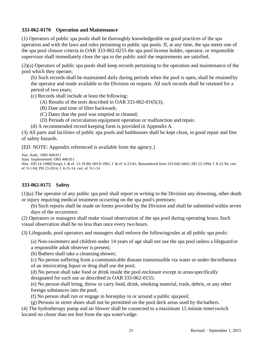#### **333-062-0170 Operation and Maintenance**

(1) Operators of public spa pools shall be thoroughly knowledgeable on good practices of the spa operation and with the laws and rules pertaining to public spa pools. If, at any time, the spa meets one of the spa pool closure criteria in OAR 333-062-0255 the spa pool license holder, operator, or responsible supervisor shall immediately close the spa to the public until the requirements are satisfied.

(2)(a) Operators of public spa pools shall keep records pertaining to the operation and maintenance of the pool which they operate;

(b) Such records shall be maintained daily during periods when the pool is open, shall be retained by the operator and made available to the Division on request. All such records shall be retained for a period of two years;

(c) Records shall include at least the following:

- (A) Results of the tests described in OAR 333-062-0165(3);
- (B) Date and time of filter backwash;
- (C) Dates that the pool was emptied or cleaned;
- (D) Periods of recirculation equipment operation or malfunction and repair.
- (d) A recommended record keeping form is provided in Appendix A.

(3) All parts and facilities of public spa pools and bathhouses shall be kept clean, in good repair and free of safety hazards.

[ED. NOTE: Appendix referenced is available from the agency.]

```
Stat. Auth.: ORS 448.011
Stats. Implemented: ORS 448.011
Hist.: HD 14-1980(Temp), f. & ef. 12-19-80; HD 8-1981, f. & ef. 6-23-81; Renumbered from 333-042-0465; HD 23-1994, f. 8-22-94, cert.
ef. 9-1-94; PH 23-2014, f. 8-15-14, cert. ef. 9-1-14
```
#### **333-062-0175 Safety**

(1)(a) The operator of any public spa pool shall report in writing to the Division any drowning, other death or injury requiring medical treatment occurring on the spa pool's premises;

(b) Such reports shall be made on forms provided by the Division and shall be submitted within seven days of the occurrence.

(2) Operators or managers shall make visual observation of the spa pool during operating hours.Such visual observation shall be no less than once every two hours.

(3) Lifeguards, pool operators and managers shall enforce the followingrules at all public spa pools:

(a) Non-swimmers and children under 14 years of age shall not use the spa pool unless a lifeguard or a responsible adult observer is present;

(b) Bathers shall take a cleansing shower;

(c) No person suffering from a communicable disease transmissible via water or under theinfluence of an intoxicating liquor or drug shall use the pool;

(d) No person shall take food or drink inside the pool enclosure except in areasspecifically designated for such use as described in OAR 333-062-0155;

(e) No person shall bring, throw or carry food, drink, smoking material, trash, debris, or any other foreign substances into the pool;

(f) No person shall run or engage in horseplay in or around a public spapool;

(g) Persons in street shoes shall not be permitted on the pool deck areas used by the bathers. (4) The hydrotherapy pump and air blower shall be connected to a maximum 15 minute timerswitch

located no closer than ten feet from the spa water's edge.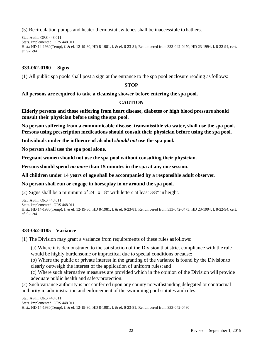(5) Recirculation pumps and heater thermostat switches shall be inaccessible to bathers.

Stat. Auth.: ORS 448.011 Stats. Implemented: ORS 448.011 Hist.: HD 14-1980(Temp), f. & ef. 12-19-80; HD 8-1981, f. & ef. 6-23-81; Renumbered from 333-042-0470; HD 23-1994, f. 8-22-94, cert. ef. 9-1-94

#### **333-062-0180 Signs**

(1) All public spa pools shall post a sign at the entrance to the spa pool enclosure reading asfollows:

#### **STOP**

**All persons are required to take a cleansing shower before entering the spa pool.**

#### **CAUTION**

**Elderly persons and those suffering from heart disease, diabetes or high blood pressure should consult their physician before using the spa pool.**

**No person suffering from a communicable disease, transmissible via water, shall use the spa pool. Persons using prescription medications should consult their physician before using the spa pool.**

**Individuals under the influence of alcohol** *should not* **use the spa pool.** 

**No person shall use the spa pool alone.**

**Pregnant women should not use the spa pool without consulting their physician.** 

**Persons should spend** *no more* **than 15 minutes in the spa at any one session.**

#### **All children under 14 years of age shall be accompanied by a responsible adult observer.**

#### **No person shall run or engage in horseplay in or around the spa pool.**

(2) Signs shall be a minimum of 24" x 18" with letters at least 3/8" in height.

```
Stat. Auth.: ORS 448.011
Stats. Implemented: ORS 448.011
Hist.: HD 14-1980(Temp), f. & ef. 12-19-80; HD 8-1981, f. & ef. 6-23-81; Renumbered from 333-042-0475; HD 23-1994, f. 8-22-94, cert. 
ef. 9-1-94
```
#### **333-062-0185 Variance**

(1) The Division may grant a variance from requirements of these rules asfollows:

(a) Where it is demonstrated to the satisfaction of the Division that strict compliance with the rule would be highly burdensome or impractical due to special conditions or cause;

(b) Where the public or private interest in the granting of the variance is found by the Divisionto clearly outweigh the interest of the application of uniform rules; and

(c) Where such alternative measures are provided which in the opinion of the Division will provide adequate public health and safety protection.

(2) Such variance authority is not conferred upon any county notwithstanding delegated or contractual authority in administration and enforcement of the swimming pool statutes and rules.

Stat. Auth.: ORS 448.011 Stats. Implemented: ORS 448.011 Hist.: HD 14-1980(Temp), f. & ef. 12-19-80; HD 8-1981, f. & ef. 6-23-81; Renumbered from 333-042-0480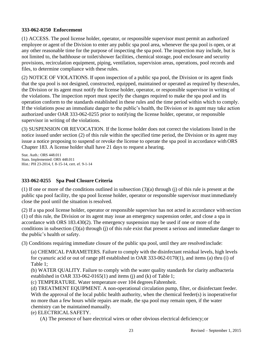#### **333-062-0250 Enforcement**

(1) ACCESS. The pool license holder, operator, or responsible supervisor must permit an authorized employee or agent of the Division to enter any public spa pool area, whenever the spa pool is open, or at any other reasonable time for the purpose of inspecting the spa pool. The inspection may include, but is not limited to, the bathhouse or toilet/shower facilities, chemical storage, pool enclosure and security provisions, recirculation equipment, piping, ventilation, supervision areas, operations, pool records and files, to determine compliance with these rules.

(2) NOTICE OF VIOLATIONS. If upon inspection of a public spa pool, the Division or its agent finds that the spa pool is not designed, constructed, equipped, maintained or operated as required by theserules, the Division or its agent must notify the license holder, operator, or responsible supervisor in writing of the violations. The inspection report must specify the changes required to make the spa pool and its operation conform to the standards established in these rules and the time period within which to comply. If the violations pose an immediate danger to the public's health, the Division or its agent may take action authorized under OAR 333-062-0255 prior to notifying the license holder, operator, or responsible supervisor in writing of the violations.

(3) SUSPENSION OR REVOCATION. If the license holder does not correct the violations listed in the notice issued under section (2) of this rule within the specified time period, the Division or its agent may issue a notice proposing to suspend or revoke the license to operate the spa pool in accordance withORS Chapter 183. A license holder shall have 21 days to request a hearing.

Stat. Auth.: ORS 448.011 Stats. Implemented: ORS 448.011 Hist.: PH 23-2014, f. 8-15-14, cert. ef. 9-1-14

#### **333-062-0255 Spa Pool Closure Criteria**

(1) If one or more of the conditions outlined in subsection (3)(a) through (j) of this rule is present at the public spa pool facility, the spa pool license holder, operator or responsible supervisor mustimmediately close the pool until the situation is resolved.

(2) If a spa pool license holder, operator or responsible supervisor has not acted in accordance with section (1) of this rule, the Division or its agent may issue an emergency suspension order, and close a spa in accordance with ORS 183.430(2). The emergency suspension may be used if one or more of the conditions in subsection (3)(a) through (j) of this rule exist that present a serious and immediate danger to the public's health or safety.

(3) Conditions requiring immediate closure of the public spa pool, until they are resolvedinclude:

(a) CHEMICAL PARAMETERS. Failure to comply with the disinfectant residual levels, high levels for cyanuric acid or out of range pH established in OAR 333-062-0170(1), and items (a) thru (i) of Table 1;

(b) WATER QUALITY. Failure to comply with the water quality standards for clarity andbacteria established in OAR 333-062-0165(1) and items (j) and (k) of Table 1;

(c) TEMPERATURE. Water temperature over 104 degrees Fahrenheit.

(d) TREATMENT EQUIPMENT. A non-operational circulation pump, filter, or disinfectant feeder. With the approval of the local public health authority, when the chemical feeder(s) is inoperativefor no more than a few hours while repairs are made, the spa pool may remain open, if the water chemistry can be maintained manually.

(e) ELECTRICALSAFETY.

(A) The presence of bare electrical wires or other obvious electrical deficiency;or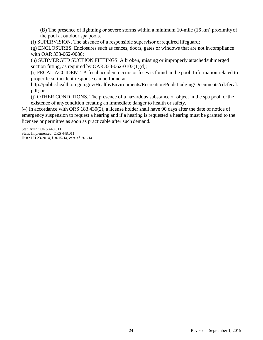(B) The presence of lightning or severe storms within a minimum 10-mile (16 km) proximityof the pool at outdoor spa pools.

(f) SUPERVISION. The absence of a responsible supervisor orrequired lifeguard;

(g) ENCLOSURES. Enclosures such as fences, doors, gates or windows that are not incompliance with OAR 333-062-0080;

(h) SUBMERGED SUCTION FITTINGS. A broken, missing or improperly attachedsubmerged suction fitting, as required by OAR  $333-062-0103(1)(d)$ ;

(i) FECAL ACCIDENT. A fecal accident occurs or feces is found in the pool. Information related to proper fecal incident response can be found at

[http://public.health.oregon.gov/HealthyEnvironments/Recreation/PoolsLodging/Documents/cdcfecal.](http://public.health.oregon.gov/HealthyEnvironments/Recreation/PoolsLodging/Documents/cdcfecal) pdf; or

(j) OTHER CONDITIONS. The presence of a hazardous substance or object in the spa pool, orthe existence of anycondition creating an immediate danger to health or safety.

(4) In accordance with ORS 183.430(2), a license holder shall have 90 days after the date of notice of emergency suspension to request a hearing and if a hearing is requested a hearing must be granted to the licensee or permittee as soon as practicable after such demand.

Stat. Auth.: ORS 448.011 Stats. Implemented: ORS 448.011 Hist.: PH 23-2014, f. 8-15-14, cert. ef. 9-1-14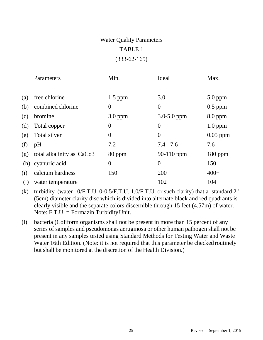## Water Quality Parameters TABLE 1 (333-62-165)

|     | Parameters                | Min.           | Ideal           | Max.       |
|-----|---------------------------|----------------|-----------------|------------|
|     |                           |                |                 |            |
| (a) | free chlorine             | $1.5$ ppm      | 3.0             | $5.0$ ppm  |
| (b) | combined chlorine         | $\theta$       | $\theta$        | $0.5$ ppm  |
| (c) | bromine                   | $3.0$ ppm      | $3.0 - 5.0$ ppm | $8.0$ ppm  |
| (d) | Total copper              | $\overline{0}$ | $\theta$        | $1.0$ ppm  |
| (e) | Total silver              | $\theta$       | $\theta$        | $0.05$ ppm |
| (f) | pH                        | 7.2            | $7.4 - 7.6$     | 7.6        |
| (g) | total alkalinity as CaCo3 | 80 ppm         | 90-110 ppm      | $180$ ppm  |
| (h) | cyanuric acid             | $\overline{0}$ | $\overline{0}$  | 150        |
| (i) | calcium hardness          | 150            | 200             | $400+$     |
| (j) | water temperature         |                | 102             | 104        |

(k) turbidity (water 0/F.T.U. 0-0.5/F.T.U. 1.0/F.T.U. or such clarity) that a standard 2" (5cm) diameter clarity disc which is divided into alternate black and red quadrants is clearly visible and the separate colors discernible through 15 feet (4.57m) of water. Note: F.T.U. = Formazin TurbidityUnit.

(l) bacteria (Coliform organisms shall not be present in more than 15 percent of any series of samples and pseudomonas aeruginosa or other human pathogen shall not be present in any samples tested using Standard Methods for Testing Water and Waste Water 16th Edition. (Note: it is not required that this parameter be checked routinely but shall be monitored at the discretion of the Health Division.)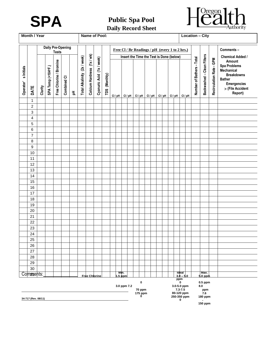



## **Daily Record Sheet**

| Month / Year<br>Name of Pool:            |                     |         |                    |                         |             |   |                              |                            |                           |               | <b>Location - City</b> |                 |                   |                                                                   |                                                |                                          |  |                                          |                                               |                           |                                                      |                          |                                                                                                                                        |
|------------------------------------------|---------------------|---------|--------------------|-------------------------|-------------|---|------------------------------|----------------------------|---------------------------|---------------|------------------------|-----------------|-------------------|-------------------------------------------------------------------|------------------------------------------------|------------------------------------------|--|------------------------------------------|-----------------------------------------------|---------------------------|------------------------------------------------------|--------------------------|----------------------------------------------------------------------------------------------------------------------------------------|
| <b>Daily Pre-Opening</b><br><b>Tests</b> |                     |         |                    |                         |             |   |                              |                            |                           |               |                        |                 |                   |                                                                   | Free Cl / Br Readings / pH (every 1 to 2 hrs.) |                                          |  |                                          |                                               |                           |                                                      | Comments-                |                                                                                                                                        |
|                                          |                     |         |                    |                         |             |   |                              |                            |                           |               |                        |                 |                   |                                                                   |                                                | Insert the Time the Test is Done (below) |  |                                          |                                               |                           |                                                      |                          | <b>Chemical Added /</b>                                                                                                                |
| s Initials<br>Operator'                  | DATE                | Clarity | SPA Temp (<104°F.) | Free Chlorine / Bromine | Combined CI | 玉 | Total Alkalinity (2x / week) | Calcium Hardness (1x / wk) | Cyanuric Acid (1x / week) | TDS (Monthly) | $Cl$ / pH              |                 | $Cl$ / pH $\vert$ | $Cl$ / pH                                                         |                                                | $Cl/pH$ $Cl/pH$                          |  | $Cl / pH$ $Cl / pH$                      |                                               | Number of Bathers - Total | Backwashed - Clean Filters                           | Recirculation Rate - GPM | Amount<br><b>Spa Problems</b><br>Mechanical<br><b>Breakdowns</b><br><b>Bather</b><br><b>Emergencies</b><br>> (File Accident<br>Report) |
|                                          | $\mathbf{1}$        |         |                    |                         |             |   |                              |                            |                           |               |                        |                 |                   |                                                                   |                                                |                                          |  |                                          |                                               |                           |                                                      |                          |                                                                                                                                        |
|                                          | $\overline{c}$      |         |                    |                         |             |   |                              |                            |                           |               |                        |                 |                   |                                                                   |                                                |                                          |  |                                          |                                               |                           |                                                      |                          |                                                                                                                                        |
|                                          | 3                   |         |                    |                         |             |   |                              |                            |                           |               |                        |                 |                   |                                                                   |                                                |                                          |  |                                          |                                               |                           |                                                      |                          |                                                                                                                                        |
|                                          | 4                   |         |                    |                         |             |   |                              |                            |                           |               |                        |                 |                   |                                                                   |                                                |                                          |  |                                          |                                               |                           |                                                      |                          |                                                                                                                                        |
|                                          | 5                   |         |                    |                         |             |   |                              |                            |                           |               |                        |                 |                   |                                                                   |                                                |                                          |  |                                          |                                               |                           |                                                      |                          |                                                                                                                                        |
|                                          | 6<br>$\overline{7}$ |         |                    |                         |             |   |                              |                            |                           |               |                        |                 |                   |                                                                   |                                                |                                          |  |                                          |                                               |                           |                                                      |                          |                                                                                                                                        |
|                                          | 8                   |         |                    |                         |             |   |                              |                            |                           |               |                        |                 |                   |                                                                   |                                                |                                          |  |                                          |                                               |                           |                                                      |                          |                                                                                                                                        |
|                                          | 9                   |         |                    |                         |             |   |                              |                            |                           |               |                        |                 |                   |                                                                   |                                                |                                          |  |                                          |                                               |                           |                                                      |                          |                                                                                                                                        |
|                                          | 10                  |         |                    |                         |             |   |                              |                            |                           |               |                        |                 |                   |                                                                   |                                                |                                          |  |                                          |                                               |                           |                                                      |                          |                                                                                                                                        |
|                                          | 11                  |         |                    |                         |             |   |                              |                            |                           |               |                        |                 |                   |                                                                   |                                                |                                          |  |                                          |                                               |                           |                                                      |                          |                                                                                                                                        |
|                                          | 12                  |         |                    |                         |             |   |                              |                            |                           |               |                        |                 |                   |                                                                   |                                                |                                          |  |                                          |                                               |                           |                                                      |                          |                                                                                                                                        |
|                                          | 13                  |         |                    |                         |             |   |                              |                            |                           |               |                        |                 |                   |                                                                   |                                                |                                          |  |                                          |                                               |                           |                                                      |                          |                                                                                                                                        |
|                                          | 14                  |         |                    |                         |             |   |                              |                            |                           |               |                        |                 |                   |                                                                   |                                                |                                          |  |                                          |                                               |                           |                                                      |                          |                                                                                                                                        |
|                                          | 15                  |         |                    |                         |             |   |                              |                            |                           |               |                        |                 |                   |                                                                   |                                                |                                          |  |                                          |                                               |                           |                                                      |                          |                                                                                                                                        |
|                                          | 16                  |         |                    |                         |             |   |                              |                            |                           |               |                        |                 |                   |                                                                   |                                                |                                          |  |                                          |                                               |                           |                                                      |                          |                                                                                                                                        |
|                                          | 17                  |         |                    |                         |             |   |                              |                            |                           |               |                        |                 |                   |                                                                   |                                                |                                          |  |                                          |                                               |                           |                                                      |                          |                                                                                                                                        |
|                                          | 18                  |         |                    |                         |             |   |                              |                            |                           |               |                        |                 |                   |                                                                   |                                                |                                          |  |                                          |                                               |                           |                                                      |                          |                                                                                                                                        |
|                                          | 19                  |         |                    |                         |             |   |                              |                            |                           |               |                        |                 |                   |                                                                   |                                                |                                          |  |                                          |                                               |                           |                                                      |                          |                                                                                                                                        |
|                                          | 20<br>21            |         |                    |                         |             |   |                              |                            |                           |               |                        |                 |                   |                                                                   |                                                |                                          |  |                                          |                                               |                           |                                                      |                          |                                                                                                                                        |
|                                          | 22                  |         |                    |                         |             |   |                              |                            |                           |               |                        |                 |                   |                                                                   |                                                |                                          |  |                                          |                                               |                           |                                                      |                          |                                                                                                                                        |
|                                          | 23                  |         |                    |                         |             |   |                              |                            |                           |               |                        |                 |                   |                                                                   |                                                |                                          |  |                                          |                                               |                           |                                                      |                          |                                                                                                                                        |
|                                          | 24                  |         |                    |                         |             |   |                              |                            |                           |               |                        |                 |                   |                                                                   |                                                |                                          |  |                                          |                                               |                           |                                                      |                          |                                                                                                                                        |
|                                          | 25                  |         |                    |                         |             |   |                              |                            |                           |               |                        |                 |                   |                                                                   |                                                |                                          |  |                                          |                                               |                           |                                                      |                          |                                                                                                                                        |
|                                          | 26                  |         |                    |                         |             |   |                              |                            |                           |               |                        |                 |                   |                                                                   |                                                |                                          |  |                                          |                                               |                           |                                                      |                          |                                                                                                                                        |
|                                          | 27                  |         |                    |                         |             |   |                              |                            |                           |               |                        |                 |                   |                                                                   |                                                |                                          |  |                                          |                                               |                           |                                                      |                          |                                                                                                                                        |
|                                          | 28                  |         |                    |                         |             |   |                              |                            |                           |               |                        |                 |                   |                                                                   |                                                |                                          |  |                                          |                                               |                           |                                                      |                          |                                                                                                                                        |
|                                          | 29                  |         |                    |                         |             |   |                              |                            |                           |               |                        |                 |                   |                                                                   |                                                |                                          |  |                                          |                                               |                           |                                                      |                          |                                                                                                                                        |
|                                          | 30                  |         |                    |                         |             |   |                              |                            |                           |               |                        |                 |                   |                                                                   |                                                |                                          |  |                                          |                                               |                           |                                                      |                          |                                                                                                                                        |
|                                          | Comments:           |         |                    |                         |             |   |                              | <b>Free Chlorine</b>       |                           |               |                        | Min.<br>1.5 ppm |                   |                                                                   |                                                |                                          |  |                                          | $\frac{1}{3.0}$ – 5.0                         |                           | Max.<br>5.0 ppm                                      |                          |                                                                                                                                        |
|                                          | 34-717 (Rev. 08/11) |         |                    |                         |             |   |                              |                            |                           |               | 3.0 ppm 7.2            |                 |                   | $\bf{0}$<br>70 ppm<br>175 ppm<br>$\begin{array}{c} 0 \end{array}$ |                                                |                                          |  | 3.0-5.0 ppm<br>80-120 ppm<br>250-350 ppm | ppm<br>$\bf{0}$<br>$7.3 - 7.5$<br>$\mathbf 0$ |                           | $0.5$ ppm<br>8.0<br>ppm<br>7.6<br>180 ppm<br>150 ppm |                          |                                                                                                                                        |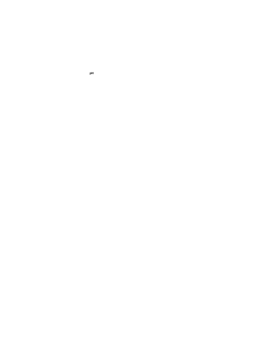**pH**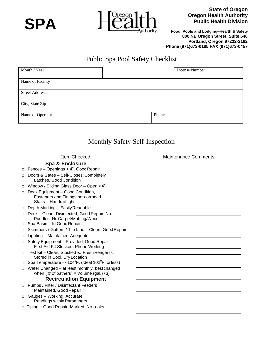

**SPA**

**State of Oregon Oregon Health Authority Public Health Division**

**Food, Pools and Lodging–Health & Safety 800 NE Oregon Street, Suite 640 Portland, Oregon 97232-2162 Phone (971)673-0185 FAX (971)673-0457**

### Public Spa Pool Safety Checklist

| Month / Year          |       | License Number |
|-----------------------|-------|----------------|
| Name of Facility      |       |                |
| <b>Street Address</b> |       |                |
| City, State Zip       |       |                |
| Name of Operator      | Phone |                |

### Monthly Safety Self-Inspection

|        | <b>Item Checked</b>                                                                                | <b>Maintenance Comments</b> |
|--------|----------------------------------------------------------------------------------------------------|-----------------------------|
|        | <b>Spa &amp; Enclosure</b>                                                                         |                             |
|        | Fences - Openings < 4", Good Repair                                                                |                             |
| П      | Doors & Gates - Self-Closes, Completely<br>Latches, Good Condition                                 |                             |
| □      | Window / Sliding Glass Door - Open <4"                                                             |                             |
| □      | Deck Equipment - Good Condition,<br>Fasteners and Fittings not corroded<br>Stairs - Handrail tight |                             |
| $\Box$ | Depth Marking - Easily Readable                                                                    |                             |
| □      | Deck - Clean, Disinfected, Good Repair, No<br>Puddles, No Carpet/Matting/Wood                      |                             |
| □      | Spa Basin - In Good Repair                                                                         |                             |
| □      | Skimmers / Gutters / Tile Line - Clean, Good Repair                                                |                             |
| □      | Lighting - Maintained, Adequate                                                                    |                             |
| □      | Safety Equipment - Provided, Good Repair<br>First Aid Kit Stocked, Phone Working                   |                             |
|        | Test Kit - Clean, Stocked w/ Fresh Reagents,<br>Stored in Cool, Dry Location                       |                             |
|        | Spa Temperature - < 104°F. (Ideal 102°F. or less)                                                  |                             |
| П      | Water Changed - at least monthly, best changed<br>when ("# of bathers" = Volume (gal.) $/3$ )      |                             |
|        | <b>Recirculation Equipment</b>                                                                     |                             |
| □      | Pumps / Filter / Disinfectant Feeders<br>Maintained, Good Repair                                   |                             |
| $\Box$ | Gauges - Working, Accurate<br>Readings within Parameters                                           |                             |
|        | $\Box$ Piping – Good Repair, Marked, No Leaks                                                      |                             |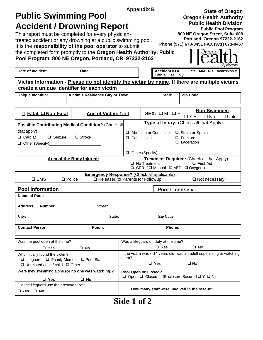|                                                                                                                            |                                                           | <b>State of Oregon</b> |                                      |                                          |                                                                                                   |
|----------------------------------------------------------------------------------------------------------------------------|-----------------------------------------------------------|------------------------|--------------------------------------|------------------------------------------|---------------------------------------------------------------------------------------------------|
| <b>Public Swimming Pool</b>                                                                                                |                                                           |                        |                                      |                                          | <b>Oregon Health Authority</b><br><b>Public Health Division</b>                                   |
| <b>Accident / Drowning Report</b><br>This report must be completed for every physician-                                    |                                                           |                        |                                      |                                          | <b>Public Pool Program</b><br>800 NE Oregon Street, Suite 608                                     |
| treated accident or any drowning at a public swimming pool.<br>It is the responsibility of the pool operator to submit     |                                                           |                        |                                      |                                          | Portland, Oregon 97232-2162<br>Phone (971) 673-0451 FAX (971) 673-0457                            |
| the completed form promptly to the Oregon Health Authority, Public                                                         |                                                           |                        |                                      |                                          | <b>Jregon</b>                                                                                     |
| Pool Program, 800 NE Oregon, Portland, OR 97232-2162                                                                       |                                                           |                        |                                      |                                          |                                                                                                   |
| Date of Incident                                                                                                           | Time:                                                     |                        |                                      | <b>Accident ID#</b><br>Official Use Only | YY - MM - DD - Accession #                                                                        |
| create a unique identifier for each victim                                                                                 |                                                           |                        |                                      |                                          | Victim Information - Please do not identify the victim by name. If there are multiple victims     |
| <b>Unique Identifier</b>                                                                                                   | Victim's Residence City or Town                           |                        |                                      | <b>State</b>                             | <b>Zip Code</b>                                                                                   |
| □ Fatal □ Non-Fatal                                                                                                        | Age of Victim: (vrs)                                      |                        |                                      | SEX: OM OF                               | <b>Non-Swimmer:</b><br>$\Box$ Yes<br>$\square$ No<br>$\Box$ Unk                                   |
|                                                                                                                            | <b>Possible Contributing Medical Condition? (Checkall</b> |                        |                                      |                                          | Type of Injury: (Check all that Apply)                                                            |
| that apply)<br>$\Box$ Cardiac<br>$\Box$ Seizure                                                                            | $\Box$ Stroke                                             |                        | $\Box$ Abrasion or Contusion         |                                          | □ Strain or Sprain<br>$\Box$ Fracture                                                             |
|                                                                                                                            |                                                           | □ Concussion           |                                      |                                          | $\Box$ Laceration                                                                                 |
|                                                                                                                            |                                                           |                        | $\Box$ Other (Specify)               |                                          |                                                                                                   |
|                                                                                                                            | Area of the Body Iniured:                                 |                        | $\Box$ No Treatment                  |                                          | Treatment Required: (Check all that Apply)<br>$\Box$ First Aid<br>□ CPR (□ Manual □ AED □ Oxygen) |
|                                                                                                                            | <b>Emergency Response?</b> (Check all applicable)         |                        |                                      |                                          |                                                                                                   |
| $\square$ EMS                                                                                                              | $\Box$ Police<br>□ Released to Parents for Followup       |                        |                                      |                                          | $\Box$ Not necessary                                                                              |
| <b>Pool Information</b>                                                                                                    |                                                           |                        |                                      | Pool License #                           |                                                                                                   |
| Name of Pool:                                                                                                              |                                                           |                        |                                      |                                          |                                                                                                   |
| Address:<br><b>Number</b>                                                                                                  | <b>Street</b>                                             |                        |                                      |                                          |                                                                                                   |
| City:                                                                                                                      | State:                                                    |                        |                                      | <b>Zip Code</b>                          |                                                                                                   |
| <b>Contact Person:</b>                                                                                                     | Poion:                                                    |                        |                                      | Phone:                                   |                                                                                                   |
| Was the pool open at the time?                                                                                             |                                                           |                        | Was a lifeguard on duty at the time? |                                          |                                                                                                   |
| $\Box$ Yes                                                                                                                 | $\Box$ No                                                 |                        |                                      | $\Box$ Yes                               | $\Box$ No                                                                                         |
| Who initially found the victim?<br>□ Lifeguard □ Family Member □ Pool Staff<br>$\Box$ Unrelated adult / child $\Box$ Other |                                                           | them?                  | $\Box$ Yes                           |                                          | If the victim was < 14 years old, was an adult supervising or watching<br>$\square$ No            |
| Were they swimming alone (or no one was watching)?                                                                         |                                                           |                        | Pool Open or Closed?                 |                                          |                                                                                                   |
| $\Box$ Yes                                                                                                                 | $\square$ No                                              |                        | □ Open □ Closed                      |                                          | (Enclosure Secured □ Y □ N)                                                                       |
| Did the lifeguard use their rescue tube?                                                                                   |                                                           |                        |                                      |                                          | How many staff were involved in the rescue?                                                       |
| □ Yes □ No                                                                                                                 |                                                           | <b>OUT</b>             | л А                                  |                                          |                                                                                                   |

**Side 1 of 2**